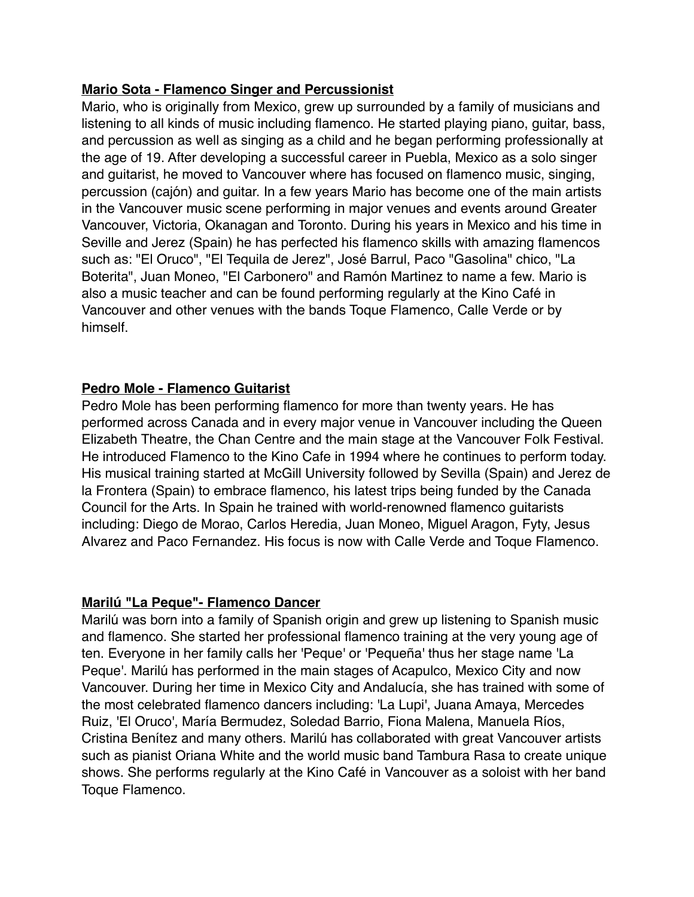## **Mario Sota - Flamenco Singer and Percussionist**

Mario, who is originally from Mexico, grew up surrounded by a family of musicians and listening to all kinds of music including flamenco. He started playing piano, guitar, bass, and percussion as well as singing as a child and he began performing professionally at the age of 19. After developing a successful career in Puebla, Mexico as a solo singer and guitarist, he moved to Vancouver where has focused on flamenco music, singing, percussion (cajón) and guitar. In a few years Mario has become one of the main artists in the Vancouver music scene performing in major venues and events around Greater Vancouver, Victoria, Okanagan and Toronto. During his years in Mexico and his time in Seville and Jerez (Spain) he has perfected his flamenco skills with amazing flamencos such as: "El Oruco", "El Tequila de Jerez", José Barrul, Paco "Gasolina" chico, "La Boterita", Juan Moneo, "El Carbonero" and Ramón Martinez to name a few. Mario is also a music teacher and can be found performing regularly at the Kino Café in Vancouver and other venues with the bands Toque Flamenco, Calle Verde or by himself.

# **Pedro Mole - Flamenco Guitarist**

Pedro Mole has been performing flamenco for more than twenty years. He has performed across Canada and in every major venue in Vancouver including the Queen Elizabeth Theatre, the Chan Centre and the main stage at the Vancouver Folk Festival. He introduced Flamenco to the Kino Cafe in 1994 where he continues to perform today. His musical training started at McGill University followed by Sevilla (Spain) and Jerez de la Frontera (Spain) to embrace flamenco, his latest trips being funded by the Canada Council for the Arts. In Spain he trained with world-renowned flamenco guitarists including: Diego de Morao, Carlos Heredia, Juan Moneo, Miguel Aragon, Fyty, Jesus Alvarez and Paco Fernandez. His focus is now with Calle Verde and Toque Flamenco.

#### **Marilú "La Peque"- Flamenco Dancer**

Marilú was born into a family of Spanish origin and grew up listening to Spanish music and flamenco. She started her professional flamenco training at the very young age of ten. Everyone in her family calls her 'Peque' or 'Pequeña' thus her stage name 'La Peque'. Marilú has performed in the main stages of Acapulco, Mexico City and now Vancouver. During her time in Mexico City and Andalucía, she has trained with some of the most celebrated flamenco dancers including: 'La Lupi', Juana Amaya, Mercedes Ruiz, 'El Oruco', María Bermudez, Soledad Barrio, Fiona Malena, Manuela Ríos, Cristina Benítez and many others. Marilú has collaborated with great Vancouver artists such as pianist Oriana White and the world music band Tambura Rasa to create unique shows. She performs regularly at the Kino Café in Vancouver as a soloist with her band Toque Flamenco.